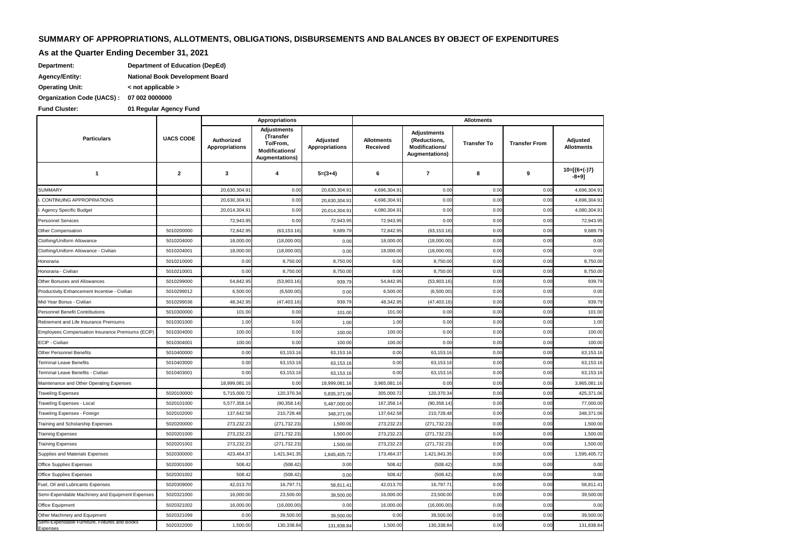# **SUMMARY OF APPROPRIATIONS, ALLOTMENTS, OBLIGATIONS, DISBURSEMENTS AND BALANCES BY OBJECT OF EXPENDITURES**

# **As at the Quarter Ending December 31, 2021**

| Department:            | Department of Education (DepEd)        |
|------------------------|----------------------------------------|
| <b>Agency/Entity:</b>  | <b>National Book Development Board</b> |
| <b>Operating Unit:</b> | $\leq$ not applicable $\geq$           |

**07 002 0000000 Organization Code (UACS) :**

**Fund Cluster: 01 Regular Agency Fund**

|                                                           |                  | Appropriations                      |                                                                          |                            | <b>Allotments</b>             |                                                                               |                    |                      |                            |  |
|-----------------------------------------------------------|------------------|-------------------------------------|--------------------------------------------------------------------------|----------------------------|-------------------------------|-------------------------------------------------------------------------------|--------------------|----------------------|----------------------------|--|
| <b>Particulars</b>                                        | <b>UACS CODE</b> | Authorized<br><b>Appropriations</b> | Adjustments<br>(Transfer<br>To/From,<br>Modifications/<br>Augmentations) | Adjusted<br>Appropriations | <b>Allotments</b><br>Received | <b>Adjustments</b><br>(Reductions,<br>Modifications/<br><b>Augmentations)</b> | <b>Transfer To</b> | <b>Transfer From</b> | Adjusted<br>Allotments     |  |
| $\mathbf{1}$                                              | $\mathbf{2}$     | 3                                   | 4                                                                        | $5=(3+4)$                  | 6                             | $\overline{7}$                                                                | 8                  | 9                    | $10=[(6+(-)7)]$<br>$-8+9]$ |  |
| SUMMARY                                                   |                  | 20,630,304.91                       | 0.00                                                                     | 20,630,304.91              | 4,696,304.9                   | 0.00                                                                          | 0.00               | 0.00                 | 4,696,304.9                |  |
| <b>CONTINUING APPROPRIATIONS</b>                          |                  | 20,630,304.91                       | 0.00                                                                     | 20,630,304.91              | 4,696,304.9                   | 0.00                                                                          | 0.00               | 0.00                 | 4,696,304.9                |  |
| Agency Specific Budget                                    |                  | 20,014,304.91                       | 0.00                                                                     | 20,014,304.9               | 4,080,304.9                   | 0.00                                                                          | 0.00               | 0.00                 | 4,080,304.9                |  |
| <b>Personnel Services</b>                                 |                  | 72,943.95                           | 0.00                                                                     | 72,943.95                  | 72,943.9                      | 0.00                                                                          | 0.00               | 0.00                 | 72,943.95                  |  |
| Other Compensation                                        | 5010200000       | 72,842.95                           | (63, 153.16)                                                             | 9,689.7                    | 72,842.9                      | (63, 153.16)                                                                  | 0.00               | 0.00                 | 9,689.79                   |  |
| Clothing/Uniform Allowance                                | 5010204000       | 18,000.00                           | (18,000.00)                                                              | 0.00                       | 18,000.0                      | (18,000.00)                                                                   | 0.00               | 0.00                 | 0.00                       |  |
| Clothing/Uniform Allowance - Civilian                     | 5010204001       | 18,000.00                           | (18,000.00)                                                              | 0.00                       | 18,000.0                      | (18,000.00)                                                                   | 0.00               | 0.00                 | 0.00                       |  |
| Honoraria                                                 | 5010210000       | 0.00                                | 8,750.00                                                                 | 8,750.00                   | 0.00                          | 8,750.00                                                                      | 0.00               | 0.00                 | 8,750.00                   |  |
| Honoraria - Civilian                                      | 5010210001       | 0.00                                | 8,750.00                                                                 | 8,750.00                   | 0.01                          | 8,750.00                                                                      | 0.00               | 0.00                 | 8,750.00                   |  |
| Other Bonuses and Allowances                              | 5010299000       | 54,842.95                           | (53,903.16)                                                              | 939.79                     | 54,842.9                      | (53,903.16)                                                                   | 0.00               | 0.00                 | 939.79                     |  |
| Productivity Enhancement Incentive - Civilian             | 5010299012       | 6,500.00                            | (6,500.00)                                                               | 0.00                       | 6,500.0                       | (6,500.00)                                                                    | 0.00               | 0.00                 | 0.00                       |  |
| Mid-Year Bonus - Civilian                                 | 5010299036       | 48,342.9                            | (47, 403.16)                                                             | 939.79                     | 48,342.9                      | (47, 403.16)                                                                  | 0.00               | 0.00                 | 939.79                     |  |
| <b>Personnel Benefit Contributions</b>                    | 5010300000       | 101.00                              | 0.00                                                                     | 101.00                     | 101.0                         | 0.00                                                                          | 0.00               | 0.00                 | 101.00                     |  |
| Retirement and Life Insurance Premiums                    | 5010301000       | 1.00                                | 0.00                                                                     | 1.00                       | 1.00                          | 0.00                                                                          | 0.00               | 0.00                 | 1.00                       |  |
| Employees Compensation Insurance Premiums (ECIP)          | 5010304000       | 100.00                              | 0.00                                                                     | 100.00                     | 100.0                         | 0.00                                                                          | 0.00               | 0.00                 | 100.00                     |  |
| ECIP - Civilian                                           | 5010304001       | 100.00                              | 0.00                                                                     | 100.00                     | 100.00                        | 0.00                                                                          | 0.00               | 0.00                 | 100.00                     |  |
| Other Personnel Benefits                                  | 5010400000       | 0.00                                | 63,153.16                                                                | 63,153.16                  | 0.00                          | 63,153.16                                                                     | 0.00               | 0.00                 | 63,153.16                  |  |
| <b>Terminal Leave Benefits</b>                            | 5010403000       | 0.00                                | 63,153.1                                                                 | 63,153.1                   | 0.00                          | 63,153.16                                                                     | 0.00               | 0.00                 | 63,153.16                  |  |
| Terminal Leave Benefits - Civilian                        | 5010403001       | 0.00                                | 63,153.16                                                                | 63,153.1                   | 0.00                          | 63,153.16                                                                     | 0.00               | 0.00                 | 63,153.16                  |  |
| Maintenance and Other Operating Expenses                  |                  | 18,999,081.16                       | 0.00                                                                     | 18,999,081.16              | 3,965,081.1                   | 0.00                                                                          | 0.00               | 0.00                 | 3,965,081.16               |  |
| <b>Traveling Expenses</b>                                 | 5020100000       | 5,715,000.7                         | 120,370.34                                                               | 5,835,371.0                | 305,000.7                     | 120,370.34                                                                    | 0.00               | 0.00                 | 425,371.06                 |  |
| Traveling Expenses - Local                                | 5020101000       | 5,577,358.1                         | (90, 358.14)                                                             | 5,487,000.00               | 167,358.1                     | (90, 358.14)                                                                  | 0.00               | 0.00                 | 77,000.00                  |  |
| Traveling Expenses - Foreign                              | 5020102000       | 137,642.5                           | 210,728.48                                                               | 348,371.06                 | 137,642.5                     | 210,728.48                                                                    | 0.00               | 0.00                 | 348,371.0                  |  |
| Training and Scholarship Expenses                         | 5020200000       | 273,232.2                           | (271,732.23)                                                             | 1,500.00                   | 273,232.2                     | (271,732.23)                                                                  | 0.00               | 0.00                 | 1,500.00                   |  |
| <b>Training Expenses</b>                                  | 5020201000       | 273,232.2                           | (271,732.23)                                                             | 1,500.00                   | 273,232.2                     | (271,732.23)                                                                  | 0.00               | 0.00                 | 1,500.00                   |  |
| <b>Training Expenses</b>                                  | 5020201002       | 273,232.2                           | (271,732.23)                                                             | 1,500.00                   | 273,232.2                     | (271, 732.23)                                                                 | 0.00               | 0.00                 | 1,500.00                   |  |
| Supplies and Materials Expenses                           | 5020300000       | 423,464.3                           | 1,421,941.35                                                             | 1,845,405.72               | 173,464.3                     | 1,421,941.35                                                                  | 0.00               | 0.00                 | 1,595,405.72               |  |
| Office Supplies Expenses                                  | 5020301000       | 508.42                              | (508.42)                                                                 | 0.00                       | 508.4                         | (508.42)                                                                      | 0.00               | 0.00                 | 0.00                       |  |
| Office Supplies Expenses                                  | 5020301002       | 508.42                              | (508.42)                                                                 | 0.00                       | 508.4                         | (508.42)                                                                      | 0.00               | 0.00                 | 0.00                       |  |
| Fuel, Oil and Lubricants Expenses                         | 5020309000       | 42,013.70                           | 16,797.7                                                                 | 58,811.4                   | 42,013.7                      | 16,797.71                                                                     | 0.00               | 0.00                 | 58,811.41                  |  |
| Semi-Expendable Machinery and Equipment Expenses          | 5020321000       | 16,000.00                           | 23,500.00                                                                | 39,500.00                  | 16,000.0                      | 23,500.00                                                                     | 0.00               | 0.00                 | 39,500.00                  |  |
| Office Equipment                                          | 5020321002       | 16,000.00                           | (16,000.00)                                                              | 0.00                       | 16,000.0                      | (16,000.00)                                                                   | 0.00               | 0.00                 | 0.00                       |  |
| Other Machinery and Equipment                             | 5020321099       | 0.00                                | 39,500.00                                                                | 39,500.00                  | 0.0(                          | 39,500.00                                                                     | 0.00               | 0.00                 | 39,500.00                  |  |
| Semi-Expendable Furniture, Fixtures and Books<br>Expenses | 5020322000       | 1,500.00                            | 130,338.84                                                               | 131,838.84                 | 1,500.0                       | 130,338.84                                                                    | 0.00               | 0.00                 | 131,838.84                 |  |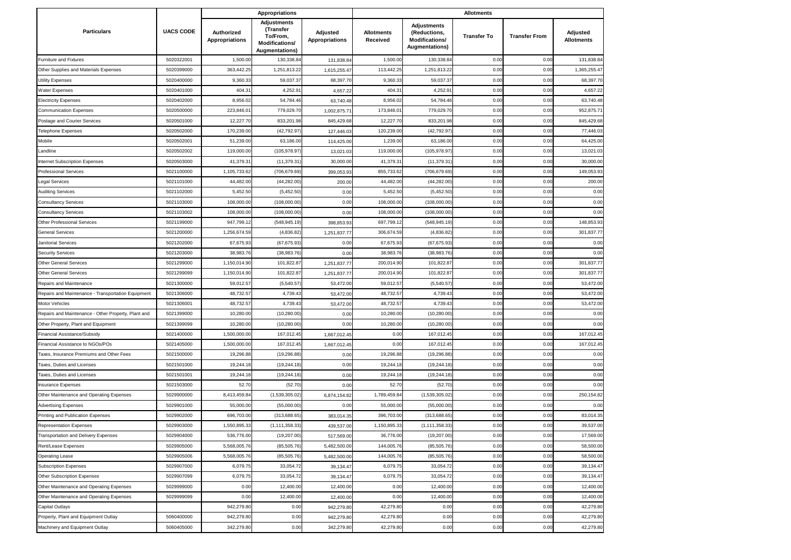|                                                     |                  |                                     | <b>Appropriations</b>                                                           |                            | <b>Allotments</b>             |                                                                        |                    |                      |                               |  |
|-----------------------------------------------------|------------------|-------------------------------------|---------------------------------------------------------------------------------|----------------------------|-------------------------------|------------------------------------------------------------------------|--------------------|----------------------|-------------------------------|--|
| <b>Particulars</b>                                  | <b>UACS CODE</b> | Authorized<br><b>Appropriations</b> | <b>Adjustments</b><br>(Transfer<br>To/From,<br>Modifications/<br>Augmentations) | Adjusted<br>Appropriations | <b>Allotments</b><br>Received | <b>Adjustments</b><br>(Reductions,<br>Modifications/<br>Augmentations) | <b>Transfer To</b> | <b>Transfer From</b> | Adjusted<br><b>Allotments</b> |  |
| Furniture and Fixtures                              | 5020322001       | 1,500.00                            | 130,338.84                                                                      | 131,838.8                  | 1,500.00                      | 130,338.84                                                             | 0.00               | 0.00                 | 131,838.84                    |  |
| Other Supplies and Materials Expenses               | 5020399000       | 363,442.2                           | 1,251,813.22                                                                    | 1,615,255.4                | 113,442.2                     | 1,251,813.22                                                           | 0.00               | 0.00                 | 1,365,255.47                  |  |
| Utility Expenses                                    | 5020400000       | 9,360.3                             | 59,037.37                                                                       | 68,397.7                   | 9,360.3                       | 59,037.37                                                              | 0.00               | 0.00                 | 68,397.70                     |  |
| Water Expenses                                      | 5020401000       | 404.3                               | 4,252.9                                                                         | 4,657.2                    | 404.3                         | 4,252.9                                                                | 0.00               | 0.00                 | 4,657.22                      |  |
| <b>Electricity Expenses</b>                         | 5020402000       | 8,956.02                            | 54,784.46                                                                       | 63,740.48                  | 8,956.0                       | 54,784.46                                                              | 0.00               | 0.00                 | 63,740.48                     |  |
| Communication Expenses                              | 5020500000       | 223,846.0                           | 779,029.70                                                                      | 1,002,875.7                | 173,846.0                     | 779,029.70                                                             | 0.00               | 0.00                 | 952,875.7                     |  |
| Postage and Courier Services                        | 5020501000       | 12,227.7                            | 833,201.98                                                                      | 845,429.6                  | 12,227.7                      | 833,201.98                                                             | 0.00               | 0.00                 | 845,429.68                    |  |
| <b>Telephone Expenses</b>                           | 5020502000       | 170,239.00                          | (42,792.97                                                                      | 127,446.03                 | 120,239.0                     | (42,792.97                                                             | 0.00               | 0.00                 | 77,446.03                     |  |
| Mobile                                              | 5020502001       | 51,239.00                           | 63,186.00                                                                       | 114,425.0                  | 1,239.0                       | 63,186.00                                                              | 0.00               | 0.00                 | 64,425.00                     |  |
| Landline                                            | 5020502002       | 119,000.00                          | (105,978.97                                                                     | 13,021.0                   | 119,000.00                    | (105,978.97                                                            | 0.00               | 0.00                 | 13,021.03                     |  |
| Internet Subscription Expenses                      | 5020503000       | 41,379.3                            | (11, 379.31)                                                                    | 30,000.00                  | 41,379.3                      | (11, 379.31)                                                           | 0.00               | 0.00                 | 30,000.00                     |  |
| Professional Services                               | 5021100000       | 1,105,733.62                        | (706, 679.69)                                                                   | 399,053.9                  | 855,733.6                     | (706,679.69                                                            | 0.00               | 0.00                 | 149,053.9                     |  |
| egal Services                                       | 5021101000       | 44,482.00                           | (44, 282.00)                                                                    | 200.0                      | 44,482.0                      | (44, 282.00)                                                           | 0.00               | 0.00                 | 200.00                        |  |
| <b>Auditing Services</b>                            | 5021102000       | 5,452.50                            | (5,452.50)                                                                      | 0.00                       | 5,452.5                       | (5,452.50)                                                             | 0.00               | 0.00                 | 0.00                          |  |
| Consultancy Services                                | 5021103000       | 108,000.00                          | (108,000.00)                                                                    | 0.00                       | 108,000.00                    | (108,000.00)                                                           | 0.00               | 0.00                 | 0.00                          |  |
| Consultancy Services                                | 5021103002       | 108,000.00                          | (108,000.00)                                                                    | 0.00                       | 108,000.00                    | (108,000.00)                                                           | 0.00               | 0.00                 | 0.00                          |  |
| Other Professional Services                         | 5021199000       | 947,799.1                           | (548, 945.19)                                                                   | 398,853.9                  | 697,799.1                     | (548,945.19                                                            | 0.00               | 0.00                 | 148,853.93                    |  |
| General Services                                    | 5021200000       | 1,256,674.59                        | (4,836.82)                                                                      | 1,251,837.7                | 306,674.59                    | (4,836.82)                                                             | 0.00               | 0.00                 | 301,837.77                    |  |
| Janitorial Services                                 | 5021202000       | 67,675.9                            | (67,675.93                                                                      | 0.00                       | 67,675.9                      | (67, 675.93)                                                           | 0.00               | 0.00                 | 0.00                          |  |
| Security Services                                   | 5021203000       | 38,983.76                           | (38, 983.76)                                                                    | 0.00                       | 38,983.76                     | (38,983.76                                                             | 0.00               | 0.00                 | 0.00                          |  |
| <b>Other General Services</b>                       | 5021299000       | 1,150,014.90                        | 101,822.87                                                                      | 1,251,837.7                | 200,014.90                    | 101,822.87                                                             | 0.00               | 0.00                 | 301,837.77                    |  |
| <b>Other General Services</b>                       | 5021299099       | 1,150,014.9                         | 101,822.8                                                                       | 1,251,837.7                | 200,014.90                    | 101,822.87                                                             | 0.00               | 0.00                 | 301,837.77                    |  |
| Repairs and Maintenance                             | 5021300000       | 59,012.5                            | (5,540.57)                                                                      | 53,472.0                   | 59,012.57                     | (5,540.57)                                                             | 0.00               | 0.00                 | 53,472.00                     |  |
| Repairs and Maintenance - Transportation Equipment  | 5021306000       | 48,732.5                            | 4,739.4                                                                         | 53,472.0                   | 48,732.5                      | 4,739.43                                                               | 0.00               | 0.00                 | 53,472.00                     |  |
| Motor Vehicles                                      | 5021306001       | 48,732.57                           | 4,739.43                                                                        | 53,472.0                   | 48,732.57                     | 4,739.43                                                               | 0.00               | 0.00                 | 53,472.00                     |  |
| Repairs and Maintenance - Other Property, Plant and | 5021399000       | 10,280.00                           | (10, 280.00)                                                                    | 0.00                       | 10,280.00                     | (10, 280.00)                                                           | 0.00               | 0.00                 | 0.00                          |  |
| Other Property, Plant and Equipment                 | 5021399099       | 10,280.00                           | (10, 280.00)                                                                    | 0.0(                       | 10,280.0                      | (10, 280.00)                                                           | 0.00               | 0.00                 | 0.00                          |  |
| Financial Assistance/Subsidy                        | 5021400000       | 1,500,000.00                        | 167,012.45                                                                      | 1,667,012.4                | 0.00                          | 167,012.45                                                             | 0.00               | 0.00                 | 167,012.45                    |  |
| Financial Assistance to NGOs/POs                    | 5021405000       | 1,500,000.0                         | 167,012.4                                                                       | 1,667,012.4                | 0.00                          | 167,012.45                                                             | 0.00               | 0.00                 | 167,012.45                    |  |
| Taxes, Insurance Premiums and Other Fees            | 5021500000       | 19,296.88                           | (19, 296.88)                                                                    | 0.00                       | 19,296.88                     | (19, 296.88)                                                           | 0.00               | 0.00                 | 0.00                          |  |
| Taxes, Duties and Licenses                          | 5021501000       | 19,244.18                           | (19, 244.18)                                                                    | 0.00                       | 19,244.1                      | (19, 244.18)                                                           | 0.00               | 0.00                 | 0.00                          |  |
| Taxes, Duties and Licenses                          | 5021501001       | 19,244.1                            | (19, 244.18)                                                                    | 0.00                       | 19,244.1                      | (19, 244.18)                                                           | 0.00               | 0.00                 | 0.00                          |  |
| <b>Insurance Expenses</b>                           | 5021503000       | 52.7(                               | (52.70)                                                                         | 0.00                       | 52.70                         | (52.70)                                                                | 0.00               | 0.00                 | 0.00                          |  |
| Other Maintenance and Operating Expenses            | 5029900000       | 8,413,459.8                         | (1,539,305.02)                                                                  | 6,874,154.82               | 1,789,459.8                   | (1,539,305.02)                                                         | 0.00               | 0.00                 | 250,154.82                    |  |
| <b>Advertising Expenses</b>                         | 5029901000       | 55,000.00                           | (55,000.00)                                                                     | 0.00                       | 55,000.00                     | (55,000.00)                                                            | 0.00               | 0.00                 | 0.00                          |  |
| Printing and Publication Expenses                   | 5029902000       | 696,703.00                          | (313, 688.65)                                                                   | 383,014.35                 | 396,703.00                    | (313,688.65                                                            | 0.00               | 0.00                 | 83,014.35                     |  |
| <b>Representation Expenses</b>                      | 5029903000       | 1,550,895.33                        | (1, 111, 358.33)                                                                | 439,537.00                 | 1,150,895.33                  | (1, 111, 358.33)                                                       | 0.00               | 0.00                 | 39,537.00                     |  |
| <b>Transportation and Delivery Expenses</b>         | 5029904000       | 536,776.00                          | (19, 207.00)                                                                    | 517,569.00                 | 36,776.00                     | (19, 207.00)                                                           | 0.00               | 0.00                 | 17,569.00                     |  |
| Rent/Lease Expenses                                 | 5029905000       | 5,568,005.76                        | (85, 505.76)                                                                    | 5,482,500.00               | 144,005.76                    | (85, 505.76)                                                           | 0.00               | 0.00                 | 58,500.00                     |  |
| Operating Lease                                     | 5029905006       | 5,568,005.76                        | (85, 505.76)                                                                    | 5,482,500.00               | 144,005.76                    | (85, 505.76)                                                           | 0.00               | 0.00                 | 58,500.00                     |  |
| <b>Subscription Expenses</b>                        | 5029907000       | 6,079.75                            | 33,054.72                                                                       | 39,134.47                  | 6,079.75                      | 33,054.72                                                              | 0.00               | 0.00                 | 39,134.47                     |  |
| Other Subscription Expenses                         | 5029907099       | 6,079.75                            | 33,054.72                                                                       | 39,134.4                   | 6,079.75                      | 33,054.72                                                              | 0.00               | 0.00                 | 39,134.47                     |  |
| Other Maintenance and Operating Expenses            | 5029999000       | 0.00                                | 12,400.00                                                                       | 12,400.00                  | 0.00                          | 12,400.00                                                              | 0.00               | 0.00                 | 12,400.00                     |  |
| Other Maintenance and Operating Expenses            | 5029999099       | 0.00                                | 12,400.00                                                                       | 12,400.00                  | 0.00                          | 12,400.00                                                              | 0.00               | 0.00                 | 12,400.00                     |  |
| Capital Outlays                                     |                  | 942,279.80                          | 0.00                                                                            | 942,279.8                  | 42,279.80                     | 0.00                                                                   | 0.00               | 0.00                 | 42,279.80                     |  |
| Property, Plant and Equipment Outlay                | 5060400000       | 942,279.80                          | 0.00                                                                            | 942,279.80                 | 42,279.80                     | 0.00                                                                   | 0.00               | 0.00                 | 42,279.80                     |  |
| Machinery and Equipment Outlay                      | 5060405000       | 342,279.80                          | 0.00                                                                            | 342,279.80                 | 42,279.80                     | 0.00                                                                   | 0.00               | 0.00                 | 42,279.80                     |  |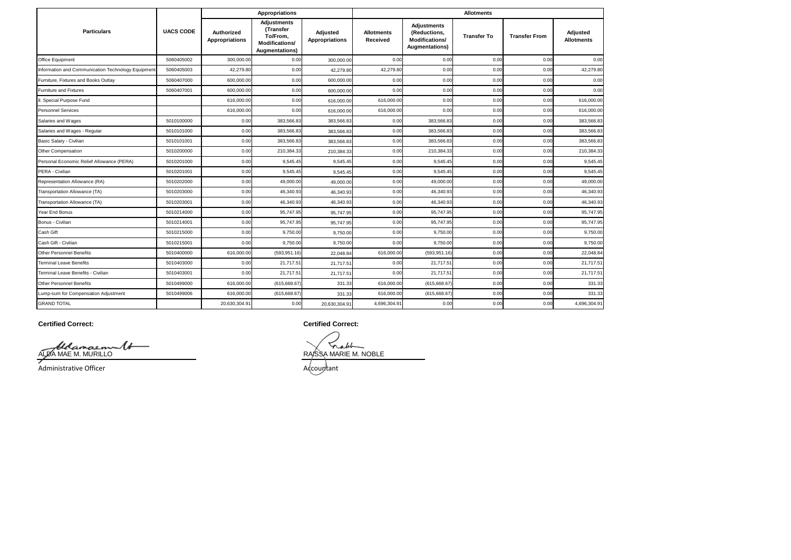|                                                   |                  | <b>Appropriations</b>        |                                                                          |                            |                               | <b>Allotments</b>                                                      |                    |                      |                               |  |  |
|---------------------------------------------------|------------------|------------------------------|--------------------------------------------------------------------------|----------------------------|-------------------------------|------------------------------------------------------------------------|--------------------|----------------------|-------------------------------|--|--|
| <b>Particulars</b>                                | <b>UACS CODE</b> | Authorized<br>Appropriations | Adjustments<br>(Transfer<br>To/From.<br>Modifications/<br>Augmentations) | Adjusted<br>Appropriations | <b>Allotments</b><br>Received | Adjustments<br>(Reductions,<br><b>Modifications/</b><br>Augmentations) | <b>Transfer To</b> | <b>Transfer From</b> | Adjusted<br><b>Allotments</b> |  |  |
| Office Equipment                                  | 5060405002       | 300,000.00                   | 0.00                                                                     | 300,000.00                 | 0.00                          | 0.00                                                                   | 0.00               | 0.00                 | 0.00                          |  |  |
| Information and Communication Technology Equipmen | 5060405003       | 42,279.80                    | 0.00                                                                     | 42,279.80                  | 42,279.80                     | 0.00                                                                   | 0.00               | 0.00                 | 42,279.80                     |  |  |
| Furniture, Fixtures and Books Outlay              | 5060407000       | 600,000.00                   | 0.00                                                                     | 600,000.00                 | 0.00                          | 0.00                                                                   | 0.00               | 0.00                 | 0.00                          |  |  |
| Furniture and Fixtures                            | 5060407001       | 600,000.00                   | 0.00                                                                     | 600,000.00                 | 0.00                          | 0.00                                                                   | 0.00               | 0.00                 | 0.00                          |  |  |
| II. Special Purpose Fund                          |                  | 616,000.00                   | 0.00                                                                     | 616,000.00                 | 616,000.00                    | 0.00                                                                   | 0.00               | 0.00                 | 616,000.00                    |  |  |
| <b>Personnel Services</b>                         |                  | 616,000.00                   | 0.00                                                                     | 616,000.00                 | 616,000.00                    | 0.00                                                                   | 0.00               | 0.00                 | 616,000.00                    |  |  |
| Salaries and Wages                                | 5010100000       | 0.00                         | 383,566.83                                                               | 383.566.83                 | 0.00                          | 383,566.83                                                             | 0.00               | 0.00                 | 383,566.83                    |  |  |
| Salaries and Wages - Regular                      | 5010101000       | 0.00                         | 383,566.83                                                               | 383.566.83                 | 0.00                          | 383,566.83                                                             | 0.00               | 0.00                 | 383,566.83                    |  |  |
| Basic Salary - Civilian                           | 5010101001       | 0.00                         | 383,566.83                                                               | 383,566.83                 | 0.00                          | 383,566.83                                                             | 0.00               | 0.00                 | 383,566.83                    |  |  |
| Other Compensation                                | 5010200000       | 0.00                         | 210,384.33                                                               | 210.384.33                 | 0.00                          | 210,384.33                                                             | 0.00               | 0.00                 | 210,384.33                    |  |  |
| Personal Economic Relief Allowance (PERA)         | 5010201000       | 0.00                         | 9.545.45                                                                 | 9,545.45                   | 0.00                          | 9,545.45                                                               | 0.00               | 0.00                 | 9,545.45                      |  |  |
| PERA - Civilian                                   | 5010201001       | 0.00                         | 9.545.45                                                                 | 9.545.45                   | 0.00                          | 9.545.45                                                               | 0.00               | 0.00                 | 9.545.45                      |  |  |
| Representation Allowance (RA)                     | 5010202000       | 0.00                         | 49,000.00                                                                | 49,000.00                  | 0.00                          | 49.000.00                                                              | 0.00               | 0.00                 | 49,000.00                     |  |  |
| Transportation Allowance (TA)                     | 5010203000       | 0.00                         | 46,340.93                                                                | 46.340.93                  | 0.00                          | 46,340.93                                                              | 0.00               | 0.00                 | 46,340.93                     |  |  |
| Transportation Allowance (TA)                     | 5010203001       | 0.00                         | 46,340.93                                                                | 46,340.93                  | 0.00                          | 46,340.93                                                              | 0.00               | 0.00                 | 46,340.93                     |  |  |
| Year End Bonus                                    | 5010214000       | 0.00                         | 95,747.95                                                                | 95.747.95                  | 0.00                          | 95,747.95                                                              | 0.00               | 0.00                 | 95,747.95                     |  |  |
| Bonus - Civilian                                  | 5010214001       | 0.00                         | 95,747.95                                                                | 95,747.95                  | 0.00                          | 95,747.95                                                              | 0.00               | 0.00                 | 95,747.95                     |  |  |
| Cash Gift                                         | 5010215000       | 0.00                         | 9,750.00                                                                 | 9.750.00                   | 0.00                          | 9,750.00                                                               | 0.00               | 0.00                 | 9,750.00                      |  |  |
| Cash Gift - Civilian                              | 5010215001       | 0.00                         | 9.750.00                                                                 | 9,750.00                   | 0.00                          | 9.750.00                                                               | 0.00               | 0.00                 | 9,750.00                      |  |  |
| <b>Other Personnel Benefits</b>                   | 5010400000       | 616,000.00                   | (593, 951.16)                                                            | 22.048.84                  | 616,000.00                    | (593, 951.16)                                                          | 0.00               | 0.00                 | 22,048.84                     |  |  |
| <b>Terminal Leave Benefits</b>                    | 5010403000       | 0.00                         | 21,717.5'                                                                | 21,717.51                  | 0.00                          | 21,717.51                                                              | 0.00               | 0.00                 | 21,717.51                     |  |  |
| Terminal Leave Benefits - Civilian                | 5010403001       | 0.00                         | 21,717.51                                                                | 21,717.51                  | 0.00                          | 21,717.51                                                              | 0.00               | 0.00                 | 21,717.51                     |  |  |
| <b>Other Personnel Benefits</b>                   | 5010499000       | 616,000.00                   | (615,668.67                                                              | 331.33                     | 616,000.00                    | (615, 668.67)                                                          | 0.00               | 0.00                 | 331.33                        |  |  |
| Lump-sum for Compensation Adjustment              | 5010499006       | 616,000.00                   | (615,668.67                                                              | 331.33                     | 616,000.00                    | (615, 668.67)                                                          | 0.00               | 0.00                 | 331.33                        |  |  |
| <b>GRAND TOTAL</b>                                |                  | 20,630,304.91                | 0.00                                                                     | 20,630,304.91              | 4,696,304.91                  | 0.00                                                                   | 0.00               | 0.00                 | 4,696,304.91                  |  |  |

**Certified Correct:**

ALDA MAE M. MURILLO

Administrative Officer

**Certified Correct:**

nak RAISSA MARIE M. NOBLE

Accountant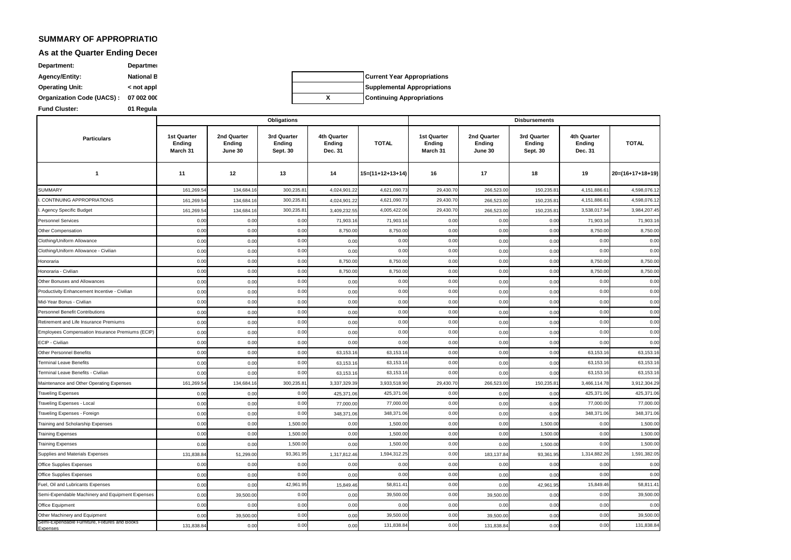### **SUMMARY OF APPROPRIATIONS, ALLOTMENTS, ALLOTMENTS, OBLIGATIONS, ALLOTMENTS AND BALANCES BY OBJECT OF APPROPRIATIO**

#### As at the Quarter Ending Decer

ndable Furniture, Fixtures and Books

Expenses

**07 002 0000000 Organization Code (UACS) : Fund Cluster:** 01 Regula **Department: Department** Agency/Entity: **National Book Operating Unit:**  $\leftarrow$   **c** not appl

**Current Year Appropriations Supplemental Appropriations X Continuing Appropriations**

Other Machinery and Equipment Office Equipment Semi-Expendable Machinery and Equipment Expenses uel, Oil and Lubricants Expenses Office Supplies Expenses Supplies and Materials Expenses Office Supplies Expenses Training Expenses **Training Expenses** Training and Scholarship Expenses Traveling Expenses - Foreign Traveling Expenses - Local raveling Expenses Maintenance and Other Operating Expenses .<br>Terminal Leave Benefits - Civilian **Terminal Leave Benefits** Other Personnel Benefits ECIP - Civilian Employees Compensation Insurance Premiums (ECIP) Retirement and Life Insurance Premiums Personnel Benefit Contributions Mid-Year Bonus - Civilian Productivity Enhancement Incentive - Civilian Other Bonuses and Allowances Honoraria - Civilian Honoraria Clothing/Uniform Allowance - Civilian Clothing/Uniform Allowance Other Compensation Personnel Services Agency Specific Budget CONTINUING APPROPRIATIONS SUMMARY **1 Particulars 11 12 14 17 18** 161,269.54 134,684.16 139,235.81 4,024,901.22 4,621,090.73 29,430.70 266,523.00 150,235.81 161,269.54 134,684.16 139,235.81 4,024,901.22 4,621,090.73 29,430.70 266,523.00 150,235.81 161,269.54 134,684.16 139,884.16 300,235.81 3,409,232.55 4,005,422.06 29,430.70 266,523.00 150,235.81 0.00 0.00 0.00 0.00 71,903.16 71,903.16 0.00 0.00 0.00 0.00 0.00 0.00 0.00 8,750.00 0.00 0.00 0.00 0.00 0.00 0.00 0.00 0.00 0.00 0.00 0.00 0.00 0.00 0.00 0.00 0.00 0.00 0.00 0 0.00 0.00 0.00 0.00 0.00 0.00 0.00 0.00 0.00 0.00 0.00 0.00 0.00 0.00 0.00 0.00 0 0.00 0.00 0.00 0.00 0.00 0.00 0.00 0.00 0.00 0.00 0.00 0.00 0.00 0.00 0.00 0.00 0.00 0.00 0.00 0.00 0.00 0.00 0.00 0.00 8,750.00 0.00 0.00 0.00 0.00 0.00 0.00 0.00 0.00 0.00 0.00 0.00 0.00 0.00 0.00 0.00 0.00 0.00 0.00 0 0.00 0.00 0.00 0.00 0.00 0.00 0.00 0.00 0.00 0.00 0.00 0.00 0.00 0.00 0.00 0.00 0 0.00 0.00 0.00 0.00 0.00 0.00 0.00 0.00 0.00 0.00 0.00 0.00 0.00 0.00 0.00 0.00 0 0.00 0.00 0.00 0.00 0.00 0.00 0.00 0.00 0.00 0.00 0.00 0.00 0.00 0.00 0.00 0.00 0 0.00 0.00 0.00 0.00 0.00  $0.00$   $0.00$   $0.00$   $0.00$   $0.00$   $0.00$   $0.00$   $0.00$   $0.00$   $0.00$   $0.00$ 0.00 0.00 0.00 0.00 0.00 0.00 0.00 0.00 0.00 0.00 0.00 0.00 0.00 0.00 0.00 0.00 0 0.00 0.00 0.00 0.00 63,153.16 63,153.16 0.00 0.00 0.00 0.00 0.00 0.00 0.00 63,153.16 0.00 0.00 0.00 0.00 63,153.16 0.00 0.00 161,269.54 134,684.16 3,337,329.39 266,523.00 150,235.81 0.00 0.00 0.00 0.00 425,371.06 425,371.06 0.00 0.00 0.00 0.00 0.00 0.00 0.00 0.00 77,000.00 0.00 0.00 0.00 0.00 0.00 0.00 0.00 348,371.06 348,371.06 0.00 0.00 0.00 0.00 0.00 0.00 0.00 0.00 1,500.00 0.00 1,500.00 0.00 0.00 0.00 0.00 0.00 1,500.00 0.00 0.00 0.00 1,500.00 0.00 1,500.00 0.00 0.00 0.00 0.00 0.00 1,500.00 0.00 0.00 0.00 1,500.00 0.00 1,500.00 0.00 0.00 0.00 0.00 0.00 1,500.00 131,838.84 51,299.00 93,361.95 1,317,812.46 1,594,312.25 0.00 183,137.84 93,361.95 0.00 0.00 0.00 0.00 0.00  $0.00$   $0.00$   $0.00$   $0.00$   $0.00$   $0.00$   $0.00$   $0.00$   $0.00$   $0.00$   $0.00$   $0.00$ 0.00 0.00 42,961.95 15,849.46 58,811.41 0.00 42,961.95 0.00 39,500.00 0.00 0.00 39,500.00 0.00 39,500.00 0.00 0.00 0.00 0.00 0.00 0.00 0.00 39,500.00 0.00 39,500.00 0.00 0.00 0.00 0.00 39,500.00 0.00 39,500.00 39,500.00 0.00 0.00 39,500.00 0.00 0.00 39,500.00 0.00 0.00 0.00  $0.00$   $0.00$   $39,500.00$   $0.00$   $39,500.00$   $39,500.00$   $0.00$   $0.00$   $0.00$ 42,961.95 58,811.41 0.00 15,849.46 58,811.41  $0.00$   $0.00$   $0.00$   $0.00$   $0.00$   $0.00$   $0.00$   $0.00$   $0.00$   $0.00$   $0.00$ 0.00 0.00 93,361.95 0.00 0.00 0.00 0.00 1,500.00 1,500.0 1,500.00 1,500.00 0.00 1,594,312.25 0.00 1,314,882.26 1,591,382.05 1,500.00 0.00 1,500.00 0.00 0.00 1,500.00 0.00 1,500.00 1,500.00 0.00 0.00 1,500.00 0.00 348,371.06 0.00 348,371.06 348,371.06 77,000.00 77,000.00 425,371.06 0.00 77,000.00 77,000.00 0.00 0.00 425,371.06 0.00 425,371.06 300,235.81 3,933,518.90 29,430.70 3,466,114.78 3,912,304.29 0.00 63,153.16 0.00 63,153.16 63,153.16 63,153.16 63,153.16 63,153.16 0.00 63.153.16 63,153.16 0.00 0.00 63,153.16 0.00 63,153.16  $0.00$   $0.00$   $0.00$   $0.00$   $0.00$   $0.00$   $0.00$   $0.00$   $0.00$   $0.00$   $0.00$  $0.00$   $0.00$   $0.00$   $0.00$   $0.00$   $0.00$   $0.00$   $0.00$   $0.00$   $0.00$   $0.00$ 0.00 0.00 0.00 0.00 0.00 0.00  $0.00$   $0.00$   $0.00$   $0.00$   $0.00$   $0.00$   $0.00$   $0.00$   $0.00$   $0.00$  $0.00$   $0.00$   $0.00$   $0.00$   $0.00$   $0.00$   $0.00$   $0.00$   $0.00$   $0.00$   $0.00$  $0.00$   $0.00$   $0.00$   $0.00$   $0.00$   $0.00$   $0.00$   $0.00$   $0.00$   $0.00$   $0.00$ 0.00 0.00 8,750.00 0.00 0.00 0.00 0.00 8,750.00 8,750.00 8,750.00 0.00 0.00 0.00 0.00 8,750.00 0.00 8,750.00 0.00 8,750.00 8,750.00  $0.00$   $0.00$   $0.00$   $0.00$   $0.00$   $0.00$   $0.00$   $0.00$   $0.00$   $0.00$   $0.00$ 0.00 0.00 8,750.00 0.00 0.00 0.00 0.00 8,750.00 8,750.00 0.00 0.00 0.00 0.00 0.00 8,750.00 0.00 71,903.16 0.00 71,903.16 71,903.16 300,235.81 3,409,232.55 4,005,422.06 29,430.70 266,523.00 150,235.81 3,538,017.94 3,984,207.45 4,151,886.61 4,598,076.12 **13 15=(11+12+13+14) 16 19 20=(16+17+18+19)** 4,598,076.12 300,235.81 4,621,090.73 29,430.70 300,235.81 4,621,090.73 29,430.70 4,151,886.61 **4th Quarter Ending Dec. 31 TOTAL 1st Quarter Ending March 31 2nd Quarter Ending June 30 1st Quarter Ending March 31 2nd Quarter Ending June 30 Obligations Disbursements 3rd Quarter Ending Sept. 30 4th Quarter Ending Dec. 31 TOTAL 3rd Quarter Ending Sept. 30**

131,838.84 0.00 0.00 0.00 0.00 0.00 131,838.84 0.00 0.00 0.00 0.00 0.00 0.00 131,838.84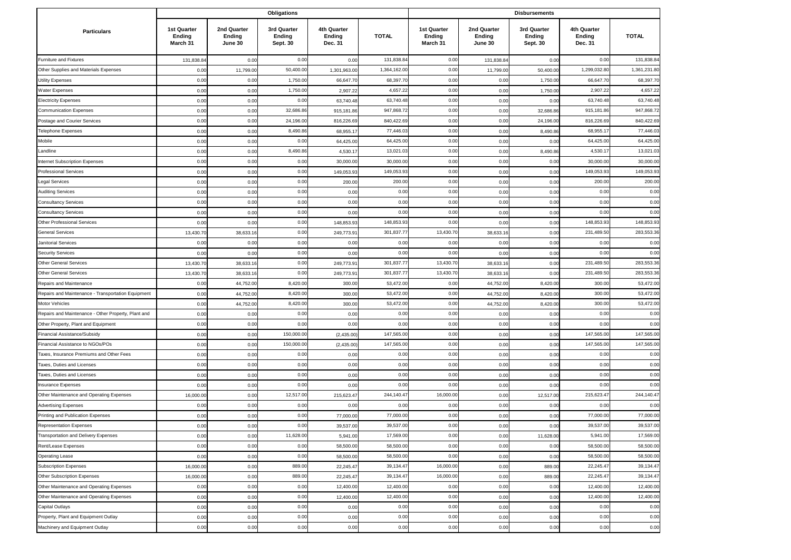|                                                     |                                   |                                  | Obligations                       |                                  |              |                                   | <b>Disbursements</b>             |                                   |                                  |              |
|-----------------------------------------------------|-----------------------------------|----------------------------------|-----------------------------------|----------------------------------|--------------|-----------------------------------|----------------------------------|-----------------------------------|----------------------------------|--------------|
| <b>Particulars</b>                                  | 1st Quarter<br>Ending<br>March 31 | 2nd Quarter<br>Ending<br>June 30 | 3rd Quarter<br>Ending<br>Sept. 30 | 4th Quarter<br>Ending<br>Dec. 31 | <b>TOTAL</b> | 1st Quarter<br>Ending<br>March 31 | 2nd Quarter<br>Ending<br>June 30 | 3rd Quarter<br>Ending<br>Sept. 30 | 4th Quarter<br>Ending<br>Dec. 31 | <b>TOTAL</b> |
| Furniture and Fixtures                              | 131,838.84                        | 0.00                             | 0.00                              | 0.00                             | 131,838.8    | 0.00                              | 131,838.8                        | 0.00                              | 0.00                             | 131,838.84   |
| Other Supplies and Materials Expenses               | 0.00                              | 11,799.0                         | 50,400.0                          | 1,301,963.0                      | 1,364,162.0  | 0.00                              | 11,799.0                         | 50,400.00                         | 1,299,032.8                      | 1,361,231.80 |
| <b>Utility Expenses</b>                             | 0.00                              | 0.00                             | 1,750.0                           | 66,647.7                         | 68,397.70    | 0.00                              | 0.00                             | 1,750.00                          | 66,647.7                         | 68,397.70    |
| Water Expenses                                      | 0.00                              | 0.00                             | 1,750.00                          | 2,907.22                         | 4,657.22     | 0.00                              | 0.00                             | 1,750.00                          | 2,907.2                          | 4,657.22     |
| <b>Electricity Expenses</b>                         | 0.00                              | 0.00                             | 0.00                              | 63,740.48                        | 63,740.48    | 0.00                              | 0.00                             | 0.00                              | 63,740.48                        | 63,740.48    |
| <b>Communication Expenses</b>                       | 0.00                              | 0.00                             | 32,686.8                          | 915,181.8                        | 947,868.72   | 0.00                              | 0.00                             | 32,686.86                         | 915,181.8                        | 947,868.72   |
| Postage and Courier Services                        | 0.00                              | 0.00                             | 24,196.0                          | 816,226.6                        | 840,422.69   | 0.00                              | 0.00                             | 24,196.00                         | 816,226.6                        | 840,422.69   |
| <b>Telephone Expenses</b>                           | 0.00                              | 0.00                             | 8,490.8                           | 68,955.1                         | 77,446.03    | 0.00                              | 0.00                             | 8,490.8                           | 68,955.1                         | 77,446.03    |
| Mobile                                              | 0.00                              | 0.00                             | 0.00                              | 64,425.00                        | 64,425.00    | 0.00                              | 0.00                             | 0.00                              | 64,425.00                        | 64,425.00    |
| Landline                                            | 0.00                              | 0.00                             | 8,490.86                          | 4,530.1                          | 13,021.03    | 0.00                              | 0.00                             | 8,490.86                          | 4,530.1                          | 13,021.03    |
| Internet Subscription Expenses                      | 0.00                              | 0.00                             | 0.00                              | 30,000.0                         | 30,000.00    | 0.00                              | 0.00                             | 0.00                              | 30,000.0                         | 30,000.0     |
| <b>Professional Services</b>                        | 0.00                              | 0.00                             | 0.00                              | 149,053.9                        | 149,053.93   | 0.00                              | 0.00                             | 0.00                              | 149,053.9                        | 149,053.93   |
| Legal Services                                      | 0.00                              | 0.00                             | 0.00                              | 200.00                           | 200.00       | 0.00                              | 0.00                             | 0.00                              | 200.0                            | 200.00       |
| <b>Auditing Services</b>                            | 0.00                              | 0.00                             | 0.00                              | 0.00                             | 0.00         | 0.00                              | 0.00                             | 0.00                              | 0.00                             | 0.00         |
| <b>Consultancy Services</b>                         | 0.00                              | 0.00                             | 0.00                              | 0.00                             | 0.00         | 0.00                              | 0.00                             | 0.00                              | 0.00                             | 0.00         |
| <b>Consultancy Services</b>                         | 0.00                              | 0.00                             | 0.00                              | 0.00                             | 0.00         | 0.00                              | 0.00                             | 0.00                              | 0.00                             | 0.00         |
| <b>Other Professional Services</b>                  | 0.00                              | 0.00                             | 0.00                              | 148,853.9                        | 148,853.93   | 0.00                              | 0.00                             | 0.00                              | 148,853.9                        | 148,853.93   |
| <b>General Services</b>                             | 13,430.7                          | 38,633.1                         | 0.00                              | 249,773.9                        | 301,837.7    | 13,430.70                         | 38,633.1                         | 0.00                              | 231,489.5                        | 283,553.36   |
| Janitorial Services                                 | 0.00                              | 0.00                             | 0.00                              | 0.00                             | 0.00         | 0.00                              | 0.00                             | 0.00                              | 0.00                             | 0.00         |
| <b>Security Services</b>                            | 0.00                              | 0.00                             | 0.00                              | 0.00                             | 0.00         | 0.00                              | 0.00                             | 0.00                              | 0.00                             | 0.00         |
| <b>Other General Services</b>                       | 13,430.7                          | 38,633.1                         | 0.00                              | 249,773.9                        | 301,837.7    | 13,430.7                          | 38,633.1                         | 0.00                              | 231,489.5                        | 283,553.36   |
| <b>Other General Services</b>                       | 13,430.70                         | 38,633.1                         | 0.00                              | 249,773.9                        | 301,837.7    | 13,430.7                          | 38,633.1                         | 0.00                              | 231,489.5                        | 283,553.36   |
| Repairs and Maintenance                             | 0.00                              | 44,752.0                         | 8,420.0                           | 300.00                           | 53,472.00    | 0.00                              | 44,752.0                         | 8,420.00                          | 300.00                           | 53,472.00    |
| Repairs and Maintenance - Transportation Equipment  | 0.00                              | 44,752.0                         | 8,420.00                          | 300.00                           | 53,472.00    | 0.00                              | 44,752.0                         | 8,420.00                          | 300.00                           | 53,472.00    |
| Motor Vehicles                                      | 0.00                              | 44,752.0                         | 8,420.00                          | 300.00                           | 53,472.00    | 0.00                              | 44,752.00                        | 8,420.00                          | 300.00                           | 53,472.00    |
| Repairs and Maintenance - Other Property, Plant and | 0.00                              | 0.00                             | 0.00                              | 0.00                             | 0.00         | 0.00                              | 0.00                             | 0.00                              | 0.00                             | 0.00         |
| Other Property, Plant and Equipment                 | 0.00                              | 0.00                             | 0.00                              | 0.00                             | 0.00         | 0.00                              | 0.00                             | 0.00                              | 0.00                             | 0.00         |
| Financial Assistance/Subsidy                        | 0.00                              | 0.00                             | 150,000.00                        | (2,435.00)                       | 147,565.00   | 0.00                              | 0.00                             | 0.00                              | 147,565.0                        | 147,565.00   |
| Financial Assistance to NGOs/POs                    | 0.00                              | 0.00                             | 150,000.00                        | (2,435.00)                       | 147,565.00   | 0.00                              | 0.00                             | 0.00                              | 147,565.0                        | 147,565.00   |
| Taxes, Insurance Premiums and Other Fees            | 0.00                              | 0.00                             | 0.00                              | 0.00                             | 0.00         | 0.00                              | 0.00                             | 0.00                              | 0.00                             | 0.00         |
| Taxes, Duties and Licenses                          | 0.00                              | 0.00                             | 0.00                              | 0.00                             | 0.00         | 0.00                              | 0.00                             | 0.00                              | 0.00                             | 0.00         |
| Taxes, Duties and Licenses                          | 0.00                              | 0.00                             | 0.00                              | 0.00                             | 0.00         | 0.00                              | 0.00                             | 0.00                              | 0.00                             | 0.00         |
| Insurance Expenses                                  | 0.00                              | 0.00                             | 0.00                              | 0.00                             | 0.00         | 0.00                              | 0.00                             | 0.00                              | 0.00                             | 0.00         |
| Other Maintenance and Operating Expenses            | 16,000.00                         | 0.00                             | 12,517.0                          | 215,623.4                        | 244,140.47   | 16,000.00                         | 0.00                             | 12,517.00                         | 215,623.47                       | 244,140.47   |
| <b>Advertising Expenses</b>                         | 0.00                              | 0.00                             | 0.00                              | 0.00                             | 0.00         | 0.00                              | 0.00                             | 0.00                              | 0.00                             | 0.00         |
| Printing and Publication Expenses                   | 0.00                              | 0.00                             | 0.00                              | 77,000.0                         | 77,000.00    | 0.00                              | 0.00                             | 0.00                              | 77,000.0                         | 77,000.00    |
| <b>Representation Expenses</b>                      | 0.00                              | 0.00                             | 0.00                              | 39,537.00                        | 39,537.00    | 0.00                              | 0.00                             | 0.00                              | 39,537.00                        | 39,537.00    |
| Transportation and Delivery Expenses                | 0.00                              | 0.00                             | 11,628.00                         | 5,941.00                         | 17,569.00    | 0.00                              | 0.00                             | 11,628.00                         | 5,941.00                         | 17,569.00    |
| Rent/Lease Expenses                                 | 0.00                              | 0.00                             | 0.00                              | 58,500.00                        | 58,500.00    | 0.00                              | 0.00                             | 0.00                              | 58,500.00                        | 58,500.00    |
| <b>Operating Lease</b>                              | 0.00                              | 0.00                             | 0.00                              | 58,500.00                        | 58,500.00    | 0.00                              | 0.00                             | 0.00                              | 58,500.00                        | 58,500.00    |
| <b>Subscription Expenses</b>                        | 16,000.00                         | 0.00                             | 889.00                            | 22,245.47                        | 39,134.47    | 16,000.00                         | 0.00                             | 889.00                            | 22,245.47                        | 39,134.47    |
| Other Subscription Expenses                         | 16,000.00                         | 0.00                             | 889.00                            | 22,245.47                        | 39,134.47    | 16,000.00                         | 0.00                             | 889.00                            | 22,245.47                        | 39,134.47    |
| Other Maintenance and Operating Expenses            | 0.00                              | 0.00                             | 0.00                              | 12,400.00                        | 12,400.00    | 0.00                              | 0.00                             | 0.00                              | 12,400.00                        | 12,400.00    |
| Other Maintenance and Operating Expenses            | 0.00                              | 0.00                             | 0.00                              | 12,400.00                        | 12,400.00    | 0.00                              | 0.00                             | 0.00                              | 12,400.00                        | 12,400.00    |
| Capital Outlays                                     | 0.00                              | 0.00                             | 0.00                              | 0.00                             | 0.00         | 0.00                              | 0.00                             | 0.00                              | 0.00                             | 0.00         |
| Property, Plant and Equipment Outlay                | 0.00                              | 0.00                             | 0.00                              | 0.00                             | 0.00         | 0.00                              | 0.00                             | 0.00                              | 0.00                             | 0.00         |
| Machinery and Equipment Outlay                      | 0.00                              | 0.00                             | 0.00                              | 0.00                             | 0.00         | 0.00                              | 0.00                             | 0.00                              | 0.00                             | 0.00         |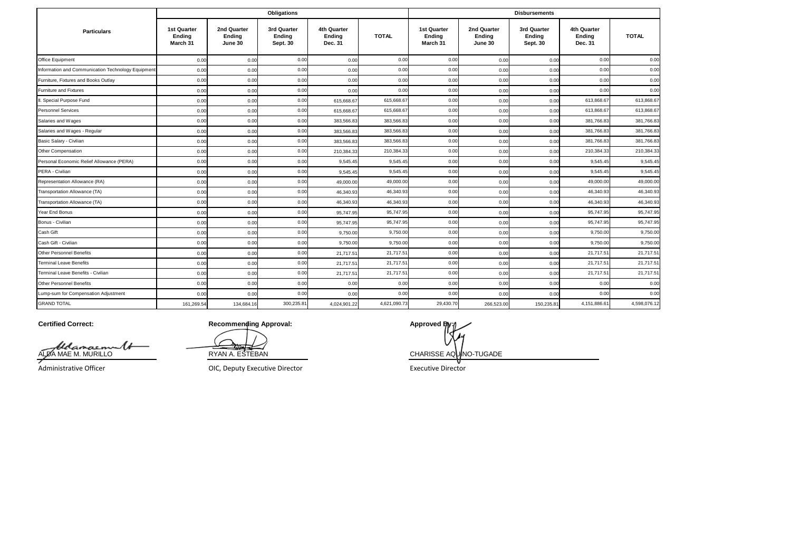|                                                    |                                   |                                  | <b>Obligations</b>                |                                  |              | <b>Disbursements</b>              |                                  |                                   |                                  |              |
|----------------------------------------------------|-----------------------------------|----------------------------------|-----------------------------------|----------------------------------|--------------|-----------------------------------|----------------------------------|-----------------------------------|----------------------------------|--------------|
| <b>Particulars</b>                                 | 1st Quarter<br>Ending<br>March 31 | 2nd Quarter<br>Ending<br>June 30 | 3rd Quarter<br>Ending<br>Sept. 30 | 4th Quarter<br>Ending<br>Dec. 31 | <b>TOTAL</b> | 1st Quarter<br>Ending<br>March 31 | 2nd Quarter<br>Ending<br>June 30 | 3rd Quarter<br>Ending<br>Sept. 30 | 4th Quarter<br>Ending<br>Dec. 31 | <b>TOTAL</b> |
| Office Equipment                                   | 0.00                              | 0.00                             | 0.00                              | 0.00                             | 0.00         | 0.00                              | 0.00                             | 0.00                              | 0.00                             | 0.00         |
| Information and Communication Technology Equipment | 0.00                              | 0.00                             | 0.00                              | 0.00                             | 0.00         | 0.00                              | 0.00                             | 0.00                              | 0.00                             | 0.00         |
| Furniture, Fixtures and Books Outlay               | 0.00                              | 0.00                             | 0.00                              | 0.00                             | 0.00         | 0.00                              | 0.00                             | 0.00                              | 0.00                             | 0.00         |
| Furniture and Fixtures                             | 0.00                              | 0.00                             | 0.00                              | 0.00                             | 0.00         | 0.00                              | 0.00                             | 0.00                              | 0.00                             | 0.00         |
| II. Special Purpose Fund                           | 0.00                              | 0.00                             | 0.00                              | 615,668.67                       | 615,668.67   | 0.00                              | 0.00                             | 0.00                              | 613,868.67                       | 613,868.67   |
| <b>Personnel Services</b>                          | 0.00                              | 0.00                             | 0.00                              | 615,668.6                        | 615,668.67   | 0.00                              | 0.00                             | 0.00                              | 613,868.67                       | 613,868.67   |
| Salaries and Wages                                 | 0.00                              | 0.00                             | 0.00                              | 383,566.8                        | 383,566.83   | 0.00                              | 0.00                             | 0.00                              | 381,766.83                       | 381,766.83   |
| Salaries and Wages - Regular                       | 0.00                              | 0.00                             | 0.00                              | 383.566.8                        | 383,566.83   | 0.00                              | 0.00                             | 0.00                              | 381,766.83                       | 381,766.83   |
| Basic Salary - Civilian                            | 0.00                              | 0.00                             | 0.00                              | 383,566.8                        | 383,566.83   | 0.00                              | 0.00                             | 0.00                              | 381,766.83                       | 381,766.83   |
| Other Compensation                                 | 0.00                              | 0.00                             | 0.00                              | 210,384.3                        | 210,384.33   | 0.00                              | 0.00                             | 0.00                              | 210,384.33                       | 210,384.33   |
| Personal Economic Relief Allowance (PERA)          | 0.00                              | 0.00                             | 0.00                              | 9,545.4                          | 9,545.45     | 0.00                              | 0.00                             | 0.00                              | 9,545.45                         | 9,545.45     |
| PERA - Civilian                                    | 0.00                              | 0.00                             | 0.00                              | 9,545.45                         | 9,545.45     | 0.00                              | 0.00                             | 0.00                              | 9,545.45                         | 9,545.45     |
| Representation Allowance (RA)                      | 0.00                              | 0.00                             | 0.00                              | 49,000.0                         | 49,000.00    | 0.00                              | 0.00                             | 0.00                              | 49,000.00                        | 49,000.00    |
| Transportation Allowance (TA)                      | 0.00                              | 0.00                             | 0.00                              | 46,340.9                         | 46,340.93    | 0.00                              | 0.00                             | 0.00                              | 46,340.93                        | 46,340.93    |
| Transportation Allowance (TA)                      | 0.00                              | 0.00                             | 0.00                              | 46,340.9                         | 46,340.93    | 0.00                              | 0.00                             | 0.00                              | 46,340.93                        | 46,340.93    |
| Year End Bonus                                     | 0.00                              | 0.00                             | 0.00                              | 95,747.9                         | 95,747.95    | 0.00                              | 0.00                             | 0.00                              | 95,747.95                        | 95,747.95    |
| Bonus - Civilian                                   | 0.00                              | 0.00                             | 0.00                              | 95,747.9                         | 95,747.95    | 0.00                              | 0.00                             | 0.00                              | 95,747.95                        | 95,747.95    |
| Cash Gift                                          | 0.00                              | 0.00                             | 0.00                              | 9,750.0                          | 9.750.00     | 0.00                              | 0.00                             | 0.00                              | 9.750.00                         | 9,750.00     |
| Cash Gift - Civilian                               | 0.00                              | 0.00                             | 0.00                              | 9,750.0                          | 9,750.00     | 0.00                              | 0.00                             | 0.00                              | 9,750.0                          | 9,750.00     |
| <b>Other Personnel Benefits</b>                    | 0.00                              | 0.00                             | 0.00                              | 21,717.5                         | 21,717.51    | 0.00                              | 0.00                             | 0.00                              | 21,717.5'                        | 21,717.51    |
| <b>Terminal Leave Benefits</b>                     | 0.00                              | 0.00                             | 0.00                              | 21,717.5                         | 21,717.51    | 0.00                              | 0.00                             | 0.00                              | 21,717.5                         | 21,717.51    |
| Terminal Leave Benefits - Civilian                 | 0.00                              | 0.00                             | 0.00                              | 21,717.5                         | 21,717.51    | 0.00                              | 0.00                             | 0.00                              | 21,717.51                        | 21,717.51    |
| <b>Other Personnel Benefits</b>                    | 0.00                              | 0.00                             | 0.00                              | 0.00                             | 0.00         | 0.00                              | 0.00                             | 0.00                              | 0.00                             | 0.00         |
| Lump-sum for Compensation Adjustment               | 0.00                              | 0.00                             | 0.00                              | 0.00                             | 0.00         | 0.00                              | 0.00                             | 0.00                              | 0.00                             | 0.00         |
| <b>GRAND TOTAL</b>                                 | 161,269.54                        | 134,684.16                       | 300,235.81                        | 4,024,901.22                     | 4,621,090.73 | 29,430.70                         | 266,523.00                       | 150,235.81                        | 4,151,886.61                     | 4,598,076.12 |

**Certified Correct:**

ALDA MAE M. MURILLO

RYAN A. ESTEBAN CHARISSE AQUINO-TUGADE

Administrative Officer

OIC, Deputy Executive Director **Executive Director** Executive Director

**Recommending Approval: Approved By: Approved By: Approved By: Approved By: Approved By: Approved By: Approved By: Approved By: Approved By: Approved By: Approved By: Approved By: Approved By: A**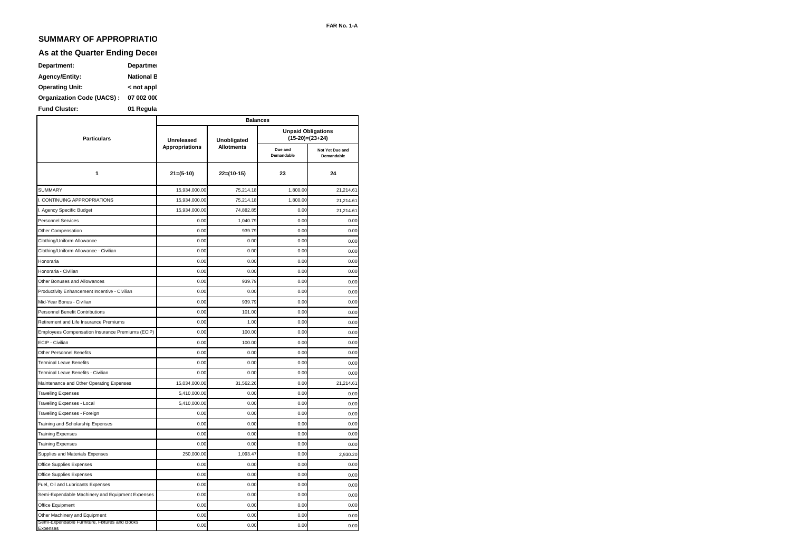## **SUMMARY OF APPROPRIATIO**

### **As at the Quarter Ending Decer**

| Department:               | Departmer         |
|---------------------------|-------------------|
| <b>Agency/Entity:</b>     | <b>National B</b> |
| <b>Operating Unit:</b>    | < not appl        |
| Organization Code (UACS): | 07 002 000        |
| <b>Fund Cluster:</b>      | 01 Regula         |

|                                                           | <b>Balances</b>       |                   |                       |                                                |  |  |  |  |
|-----------------------------------------------------------|-----------------------|-------------------|-----------------------|------------------------------------------------|--|--|--|--|
| <b>Particulars</b>                                        | Unreleased            | Unobligated       |                       | <b>Unpaid Obligations</b><br>$(15-20)=(23+24)$ |  |  |  |  |
|                                                           | <b>Appropriations</b> | <b>Allotments</b> | Due and<br>Demandable | Not Yet Due and<br>Demandable                  |  |  |  |  |
| 1                                                         | $21=(5-10)$           | $22=(10-15)$      | 23                    | 24                                             |  |  |  |  |
| <b>SUMMARY</b>                                            | 15,934,000.00         | 75,214.18         | 1,800.00              | 21,214.61                                      |  |  |  |  |
| I. CONTINUING APPROPRIATIONS                              | 15,934,000.00         | 75,214.18         | 1,800.00              | 21,214.61                                      |  |  |  |  |
| I. Agency Specific Budget                                 | 15,934,000.00         | 74,882.85         | 0.00                  | 21,214.61                                      |  |  |  |  |
| <b>Personnel Services</b>                                 | 0.00                  | 1,040.79          | 0.00                  | 0.00                                           |  |  |  |  |
| Other Compensation                                        | 0.00                  | 939.79            | 0.00                  | 0.00                                           |  |  |  |  |
| Clothing/Uniform Allowance                                | 0.00                  | 0.00              | 0.00                  | 0.00                                           |  |  |  |  |
| Clothing/Uniform Allowance - Civilian                     | 0.00                  | 0.00              | 0.00                  | 0.00                                           |  |  |  |  |
| Honoraria                                                 | 0.00                  | 0.00              | 0.00                  | 0.00                                           |  |  |  |  |
| Honoraria - Civilian                                      | 0.00                  | 0.00              | 0.00                  | 0.00                                           |  |  |  |  |
| Other Bonuses and Allowances                              | 0.00                  | 939.79            | 0.00                  | 0.00                                           |  |  |  |  |
| Productivity Enhancement Incentive - Civilian             | 0.00                  | 0.00              | 0.00                  | 0.00                                           |  |  |  |  |
| Mid-Year Bonus - Civilian                                 | 0.00                  | 939.79            | 0.00                  | 0.00                                           |  |  |  |  |
| Personnel Benefit Contributions                           | 0.00                  | 101.00            | 0.00                  | 0.00                                           |  |  |  |  |
| Retirement and Life Insurance Premiums                    | 0.00                  | 1.00              | 0.00                  | 0.00                                           |  |  |  |  |
| Employees Compensation Insurance Premiums (ECIP)          | 0.00                  | 100.00            | 0.00                  | 0.00                                           |  |  |  |  |
| ECIP - Civilian                                           | 0.00                  | 100.00            | 0.00                  | 0.00                                           |  |  |  |  |
| Other Personnel Benefits                                  | 0.00                  | 0.00              | 0.00                  | 0.00                                           |  |  |  |  |
| <b>Terminal Leave Benefits</b>                            | 0.00                  | 0.00              | 0.00                  | 0.00                                           |  |  |  |  |
| Terminal Leave Benefits - Civilian                        | 0.00                  | 0.00              | 0.00                  | 0.00                                           |  |  |  |  |
| Maintenance and Other Operating Expenses                  | 15,034,000.00         | 31,562.26         | 0.00                  | 21,214.61                                      |  |  |  |  |
| <b>Traveling Expenses</b>                                 | 5,410,000.00          | 0.00              | 0.00                  | 0.00                                           |  |  |  |  |
| Traveling Expenses - Local                                | 5,410,000.00          | 0.00              | 0.00                  | 0.00                                           |  |  |  |  |
| Traveling Expenses - Foreign                              | 0.00                  | 0.00              | 0.00                  | 0.00                                           |  |  |  |  |
| Training and Scholarship Expenses                         | 0.00                  | 0.00              | 0.00                  | 0.00                                           |  |  |  |  |
| <b>Training Expenses</b>                                  | 0.00                  | 0.00              | 0.00                  | 0.00                                           |  |  |  |  |
| <b>Training Expenses</b>                                  | 0.00                  | 0.00              | 0.00                  | 0.00                                           |  |  |  |  |
| Supplies and Materials Expenses                           | 250,000.00            | 1,093.47          | 0.00                  | 2,930.20                                       |  |  |  |  |
| Office Supplies Expenses                                  | 0.00                  | 0.00              | 0.00                  | 0.00                                           |  |  |  |  |
| Office Supplies Expenses                                  | 0.00                  | 0.00              | 0.00                  | 0.00                                           |  |  |  |  |
| Fuel, Oil and Lubricants Expenses                         | 0.00                  | 0.00              | 0.00                  | 0.00                                           |  |  |  |  |
| Semi-Expendable Machinery and Equipment Expenses          | 0.00                  | 0.00              | 0.00                  | 0.00                                           |  |  |  |  |
| Office Equipment                                          | 0.00                  | 0.00              | 0.00                  | 0.00                                           |  |  |  |  |
| Other Machinery and Equipment                             | 0.00                  | 0.00              | 0.00                  | 0.00                                           |  |  |  |  |
| Semi-Expendable Furniture, Fixtures and Books<br>Expenses | 0.00                  | 0.00              | 0.00                  | 0.00                                           |  |  |  |  |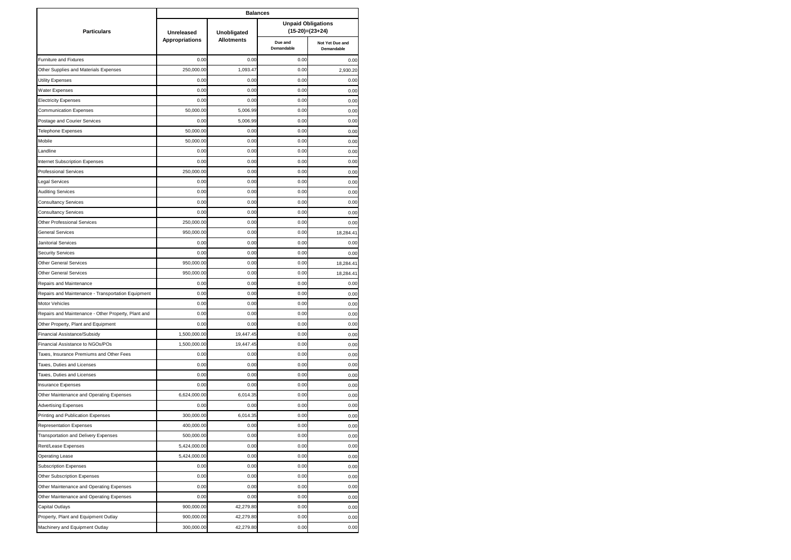|                                                     | <b>Balances</b>       |                   |                       |                                              |  |  |  |  |  |
|-----------------------------------------------------|-----------------------|-------------------|-----------------------|----------------------------------------------|--|--|--|--|--|
| <b>Particulars</b>                                  | Unreleased            | Unobligated       |                       | <b>Unpaid Obligations</b><br>(15-20)=(23+24) |  |  |  |  |  |
|                                                     | <b>Appropriations</b> | <b>Allotments</b> | Due and<br>Demandable | Not Yet Due and<br>Demandable                |  |  |  |  |  |
| Furniture and Fixtures                              | 0.00                  | 0.00              | 0.00                  | 0.00                                         |  |  |  |  |  |
| Other Supplies and Materials Expenses               | 250,000.00            | 1,093.47          | 0.00                  | 2.930.20                                     |  |  |  |  |  |
| Utility Expenses                                    | 0.00                  | 0.00              | 0.00                  | 0.00                                         |  |  |  |  |  |
| Water Expenses                                      | 0.00                  | 0.00              | 0.00                  | 0.00                                         |  |  |  |  |  |
| <b>Electricity Expenses</b>                         | 0.00                  | 0.00              | 0.00                  | 0.00                                         |  |  |  |  |  |
| <b>Communication Expenses</b>                       | 50,000.00             | 5,006.99          | 0.00                  | 0.00                                         |  |  |  |  |  |
| Postage and Courier Services                        | 0.00                  | 5,006.99          | 0.00                  | 0.00                                         |  |  |  |  |  |
| Telephone Expenses                                  | 50,000.00             | 0.00              | 0.00                  | 0.00                                         |  |  |  |  |  |
| Mobile                                              | 50,000.00             | 0.00              | 0.00                  | 0.00                                         |  |  |  |  |  |
| Landline                                            | 0.00                  | 0.00              | 0.00                  | 0.00                                         |  |  |  |  |  |
| <b>Internet Subscription Expenses</b>               | 0.00                  | 0.00              | 0.00                  | 0.00                                         |  |  |  |  |  |
| <b>Professional Services</b>                        | 250,000.00            | 0.00              | 0.00                  | 0.00                                         |  |  |  |  |  |
| Legal Services                                      | 0.00                  | 0.00              | 0.00                  | 0.00                                         |  |  |  |  |  |
| <b>Auditing Services</b>                            | 0.00                  | 0.00              | 0.00                  | 0.00                                         |  |  |  |  |  |
| <b>Consultancy Services</b>                         | 0.00                  | 0.00              | 0.00                  | 0.00                                         |  |  |  |  |  |
| <b>Consultancy Services</b>                         | 0.00                  | 0.00              | 0.00                  | 0.00                                         |  |  |  |  |  |
| Other Professional Services                         | 250,000.00            | 0.00              | 0.00                  | 0.00                                         |  |  |  |  |  |
| General Services                                    | 950,000.00            | 0.00              | 0.00                  | 18,284.41                                    |  |  |  |  |  |
| Janitorial Services                                 | 0.00                  | 0.00              | 0.00                  | 0.00                                         |  |  |  |  |  |
| <b>Security Services</b>                            | 0.00                  | 0.00              | 0.00                  | 0.00                                         |  |  |  |  |  |
| <b>Other General Services</b>                       | 950,000.00            | 0.00              | 0.00                  | 18,284.41                                    |  |  |  |  |  |
| <b>Other General Services</b>                       | 950,000.00            | 0.00              | 0.00                  | 18,284.41                                    |  |  |  |  |  |
| Repairs and Maintenance                             | 0.00                  | 0.00              | 0.00                  | 0.00                                         |  |  |  |  |  |
| Repairs and Maintenance - Transportation Equipment  | 0.00                  | 0.00              | 0.00                  | 0.00                                         |  |  |  |  |  |
| Motor Vehicles                                      | 0.00                  | 0.00              | 0.00                  | 0.00                                         |  |  |  |  |  |
| Repairs and Maintenance - Other Property, Plant and | 0.00                  | 0.00              | 0.00                  | 0.00                                         |  |  |  |  |  |
| Other Property, Plant and Equipment                 | 0.00                  | 0.00              | 0.00                  | 0.00                                         |  |  |  |  |  |
| Financial Assistance/Subsidy                        | 1,500,000.00          | 19,447.45         | 0.00                  | 0.00                                         |  |  |  |  |  |
| Financial Assistance to NGOs/POs                    | 1,500,000.00          | 19,447.45         | 0.00                  | 0.00                                         |  |  |  |  |  |
| Taxes, Insurance Premiums and Other Fees            | 0.00                  | 0.00              | 0.00                  | 0.00                                         |  |  |  |  |  |
| Taxes, Duties and Licenses                          | 0.00                  | 0.00              | 0.00                  | 0.00                                         |  |  |  |  |  |
| Taxes, Duties and Licenses                          | 0.00                  | 0.00              | 0.00                  | 0.00                                         |  |  |  |  |  |
| <b>Insurance Expenses</b>                           | 0.00                  | 0.00              | 0.00                  | 0.00                                         |  |  |  |  |  |
| Other Maintenance and Operating Expenses            | 6,624,000.00          | 6,014.35          | 0.00                  | 0.00                                         |  |  |  |  |  |
| <b>Advertising Expenses</b>                         | 0.00                  | 0.00              | 0.00                  | 0.00                                         |  |  |  |  |  |
| Printing and Publication Expenses                   | 300,000.00            | 6,014.35          | 0.00                  | 0.00                                         |  |  |  |  |  |
| <b>Representation Expenses</b>                      | 400,000.00            | 0.00              | 0.00                  | 0.00                                         |  |  |  |  |  |
| <b>Transportation and Delivery Expenses</b>         | 500,000.00            | 0.00              | 0.00                  | 0.00                                         |  |  |  |  |  |
| Rent/Lease Expenses                                 | 5,424,000.00          | 0.00              | 0.00                  | 0.00                                         |  |  |  |  |  |
| <b>Operating Lease</b>                              | 5,424,000.00          | 0.00              | 0.00                  | 0.00                                         |  |  |  |  |  |
| <b>Subscription Expenses</b>                        | 0.00                  | 0.00              | 0.00                  | 0.00                                         |  |  |  |  |  |
| Other Subscription Expenses                         | 0.00                  | 0.00              | 0.00                  | 0.00                                         |  |  |  |  |  |
| Other Maintenance and Operating Expenses            | 0.00                  | 0.00              | 0.00                  | 0.00                                         |  |  |  |  |  |
| Other Maintenance and Operating Expenses            | 0.00                  | 0.00              | 0.00                  | 0.00                                         |  |  |  |  |  |
| Capital Outlays                                     | 900,000.00            | 42,279.80         | 0.00                  | 0.00                                         |  |  |  |  |  |
| Property, Plant and Equipment Outlay                | 900,000.00            | 42,279.80         | 0.00                  | 0.00                                         |  |  |  |  |  |
| Machinery and Equipment Outlay                      | 300,000.00            | 42,279.80         | 0.00                  | 0.00                                         |  |  |  |  |  |